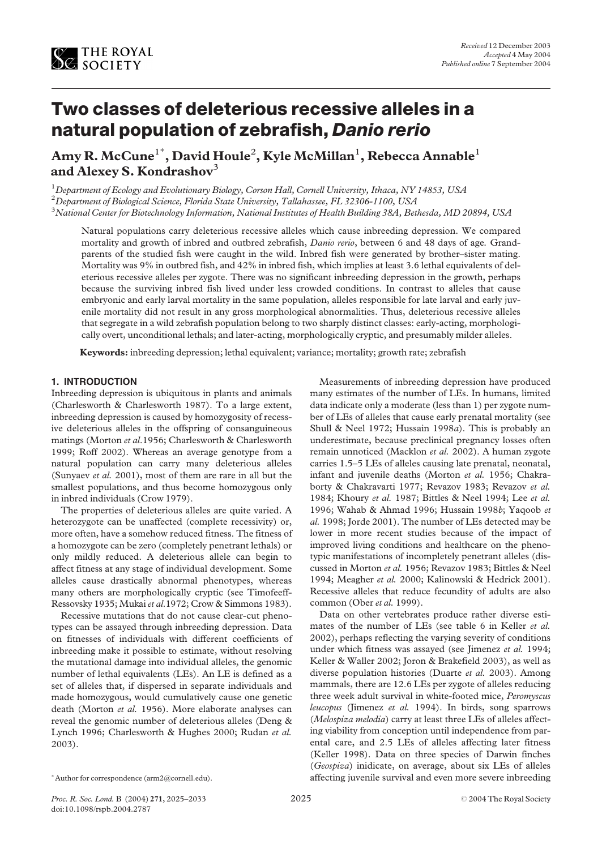

# Two classes of deleterious recessive alleles in a natural population of zebrafish, Danio rerio

Amy R. McCune $^{\rm l}$ \*, David Houle $^{\rm 2}$ , Kyle McMillan $^{\rm l}$ , Rebecca Annable $^{\rm l}$ and Alexey S. Kondrashov $3$ 

<sup>1</sup> Department of Ecology and Evolutionary Biology, Corson Hall, Cornell University, Ithaca, NY 14853, USA

 $^2$ Department of Biological Science, Florida State University, Tallahassee, FL 32306-1100, USA

 $^3$ National Center for Biotechnology Information, National Institutes of Health Building 38A, Bethesda, MD 20894, USA

Natural populations carry deleterious recessive alleles which cause inbreeding depression. We compared mortality and growth of inbred and outbred zebrafish, *Danio rerio*, between 6 and 48 days of age. Grandparents of the studied fish were caught in the wild. Inbred fish were generated by brother–sister mating. Mortality was 9% in outbred fish, and 42% in inbred fish, which implies at least 3.6 lethal equivalents of deleterious recessive alleles per zygote. There was no significant inbreeding depression in the growth, perhaps because the surviving inbred fish lived under less crowded conditions. In contrast to alleles that cause embryonic and early larval mortality in the same population, alleles responsible for late larval and early juvenile mortality did not result in any gross morphological abnormalities. Thus, deleterious recessive alleles that segregate in a wild zebrafish population belong to two sharply distinct classes: early-acting, morphologically overt, unconditional lethals; and later-acting, morphologically cryptic, and presumably milder alleles.

Keywords: inbreeding depression; lethal equivalent; variance; mortality; growth rate; zebrafish

## 1. INTRODUCTION

Inbreeding depression is ubiquitous in plants and animals (Charlesworth & Charlesworth 1987). To a large extent, inbreeding depression is caused by homozygosity of recessive deleterious alleles in the offspring of consanguineous matings (Morton et al.1956; Charlesworth & Charlesworth 1999; Roff 2002). Whereas an average genotype from a natural population can carry many deleterious alleles (Sunyaev et al. 2001), most of them are rare in all but the smallest populations, and thus become homozygous only in inbred individuals (Crow 1979).

The properties of deleterious alleles are quite varied. A heterozygote can be unaffected (complete recessivity) or, more often, have a somehow reduced fitness. The fitness of a homozygote can be zero (completely penetrant lethals) or only mildly reduced. A deleterious allele can begin to affect fitness at any stage of individual development. Some alleles cause drastically abnormal phenotypes, whereas many others are morphologically cryptic (see Timofeeff-Ressovsky 1935; Mukai et al.1972; Crow & Simmons 1983).

Recessive mutations that do not cause clear-cut phenotypes can be assayed through inbreeding depression. Data on fitnesses of individuals with different coefficients of inbreeding make it possible to estimate, without resolving the mutational damage into individual alleles, the genomic number of lethal equivalents (LEs). An LE is defined as a set of alleles that, if dispersed in separate individuals and made homozygous, would cumulatively cause one genetic death (Morton et al. 1956). More elaborate analyses can reveal the genomic number of deleterious alleles (Deng & Lynch 1996; Charlesworth & Hughes 2000; Rudan et al. 2003).

Measurements of inbreeding depression have produced many estimates of the number of LEs. In humans, limited data indicate only a moderate (less than 1) per zygote number of LEs of alleles that cause early prenatal mortality (see Shull & Neel 1972; Hussain 1998a). This is probably an underestimate, because preclinical pregnancy losses often remain unnoticed (Macklon et al. 2002). A human zygote carries 1.5–5 LEs of alleles causing late prenatal, neonatal, infant and juvenile deaths (Morton et al. 1956; Chakraborty & Chakravarti 1977; Revazov 1983; Revazov et al. 1984; Khoury et al. 1987; Bittles & Neel 1994; Lee et al. 1996; Wahab & Ahmad 1996; Hussain 1998b; Yaqoob et al. 1998; Jorde 2001). The number of LEs detected may be lower in more recent studies because of the impact of improved living conditions and healthcare on the phenotypic manifestations of incompletely penetrant alleles (discussed in Morton et al. 1956; Revazov 1983; Bittles & Neel 1994; Meagher et al. 2000; Kalinowski & Hedrick 2001). Recessive alleles that reduce fecundity of adults are also common (Ober et al. 1999).

Data on other vertebrates produce rather diverse estimates of the number of LEs (see table 6 in Keller et al. 2002), perhaps reflecting the varying severity of conditions under which fitness was assayed (see Jimenez et al. 1994; Keller & Waller 2002; Joron & Brakefield 2003), as well as diverse population histories (Duarte et al. 2003). Among mammals, there are 12.6 LEs per zygote of alleles reducing three week adult survival in white-footed mice, Peromyscus leucopus (Jimenez et al. 1994). In birds, song sparrows (Melospiza melodia) carry at least three LEs of alleles affecting viability from conception until independence from parental care, and 2.5 LEs of alleles affecting later fitness (Keller 1998). Data on three species of Darwin finches (Geospiza) inidicate, on average, about six LEs of alleles \* Author for correspondence (arm2@cornell.edu). The affecting juvenile survival and even more severe inbreeding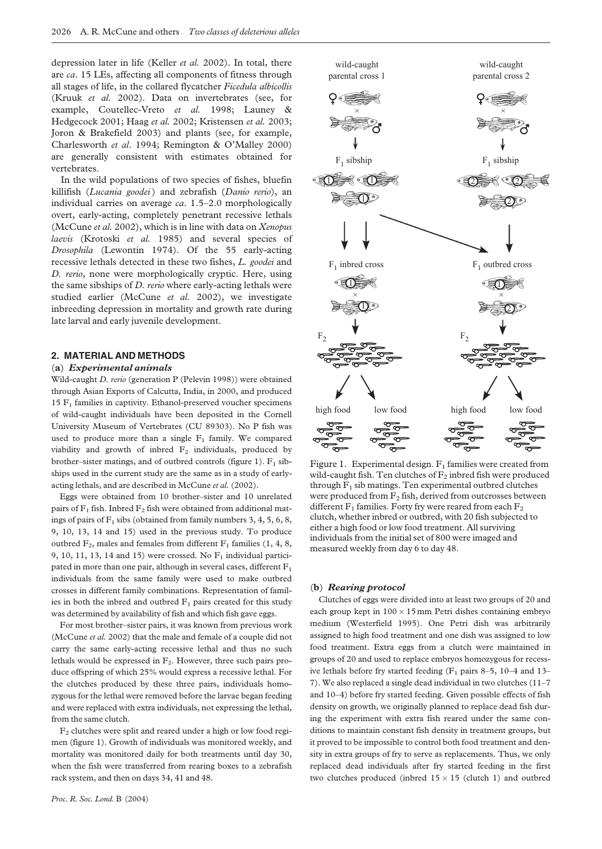depression later in life (Keller et al. 2002). In total, there are ca. 15 LEs, affecting all components of fitness through all stages of life, in the collared flycatcher Ficedula albicollis (Kruuk et al. 2002). Data on invertebrates (see, for example, Coutellec-Vreto et al. 1998; Launey & Hedgecock 2001; Haag et al. 2002; Kristensen et al. 2003; Joron & Brakefield 2003) and plants (see, for example, Charlesworth et al. 1994; Remington & O'Malley 2000) are generally consistent with estimates obtained for vertebrates.

In the wild populations of two species of fishes, bluefin killifish (Lucania goodei) and zebrafish (Danio rerio), an individual carries on average ca. 1.5–2.0 morphologically overt, early-acting, completely penetrant recessive lethals (McCune et al. 2002), which is in line with data on Xenopus laevis (Krotoski et al. 1985) and several species of Drosophila (Lewontin 1974). Of the 55 early-acting recessive lethals detected in these two fishes, L. goodei and D. rerio, none were morphologically cryptic. Here, using the same sibships of D. rerio where early-acting lethals were studied earlier (McCune et al. 2002), we investigate inbreeding depression in mortality and growth rate during late larval and early juvenile development.

# 2. MATERIAL AND METHODS

#### (a) Experimental animals

Wild-caught D. rerio (generation P (Pelevin 1998)) were obtained through Asian Exports of Calcutta, India, in 2000, and produced  $15 F<sub>1</sub>$  families in captivity. Ethanol-preserved voucher specimens of wild-caught individuals have been deposited in the Cornell University Museum of Vertebrates (CU 89303). No P fish was used to produce more than a single  $F_1$  family. We compared viability and growth of inbred  $F_2$  individuals, produced by brother–sister matings, and of outbred controls (figure 1).  $F_1$  sibships used in the current study are the same as in a study of earlyacting lethals, and are described in McCune et al. (2002).

Eggs were obtained from 10 brother–sister and 10 unrelated pairs of  $F_1$  fish. Inbred  $F_2$  fish were obtained from additional matings of pairs of  $F_1$  sibs (obtained from family numbers 3, 4, 5, 6, 8, 9, 10, 13, 14 and 15) used in the previous study. To produce outbred  $F_2$ , males and females from different  $F_1$  families (1, 4, 8, 9, 10, 11, 13, 14 and 15) were crossed. No  $F_1$  individual participated in more than one pair, although in several cases, different  $F_1$ individuals from the same family were used to make outbred crosses in different family combinations. Representation of families in both the inbred and outbred  $F_1$  pairs created for this study was determined by availability of fish and which fish gave eggs.

For most brother–sister pairs, it was known from previous work (McCune et al. 2002) that the male and female of a couple did not carry the same early-acting recessive lethal and thus no such lethals would be expressed in  $F_2$ . However, three such pairs produce offspring of which 25% would express a recessive lethal. For the clutches produced by these three pairs, individuals homozygous for the lethal were removed before the larvae began feeding and were replaced with extra individuals, not expressing the lethal, from the same clutch.

 $F<sub>2</sub>$  clutches were split and reared under a high or low food regimen (figure 1). Growth of individuals was monitored weekly, and mortality was monitored daily for both treatments until day 30, when the fish were transferred from rearing boxes to a zebrafish rack system, and then on days 34, 41 and 48.



Figure 1. Experimental design.  $F_1$  families were created from wild-caught fish. Ten clutches of  $F_2$  inbred fish were produced through  $F_1$  sib matings. Ten experimental outbred clutches were produced from  $F_2$  fish, derived from outcrosses between different  $F_1$  families. Forty fry were reared from each  $F_2$ clutch, whether inbred or outbred, with 20 fish subjected to either a high food or low food treatment. All surviving individuals from the initial set of 800 were imaged and measured weekly from day 6 to day 48.

## (b) Rearing protocol

Clutches of eggs were divided into at least two groups of 20 and each group kept in  $100 \times 15$  mm Petri dishes containing embryo medium (Westerfield 1995). One Petri dish was arbitrarily assigned to high food treatment and one dish was assigned to low food treatment. Extra eggs from a clutch were maintained in groups of 20 and used to replace embryos homozygous for recessive lethals before fry started feeding  $(F_1$  pairs 8–5, 10–4 and 13– 7). We also replaced a single dead individual in two clutches (11–7 and 10–4) before fry started feeding. Given possible effects of fish density on growth, we originally planned to replace dead fish during the experiment with extra fish reared under the same conditions to maintain constant fish density in treatment groups, but it proved to be impossible to control both food treatment and density in extra groups of fry to serve as replacements. Thus, we only replaced dead individuals after fry started feeding in the first two clutches produced (inbred  $15 \times 15$  (clutch 1) and outbred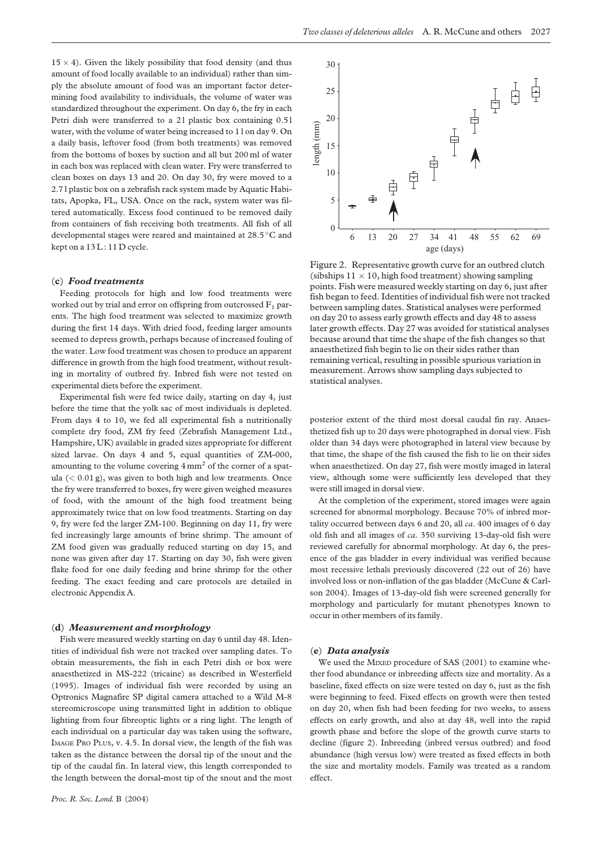<span id="page-2-0"></span> $15 \times 4$ ). Given the likely possibility that food density (and thus amount of food locally available to an individual) rather than simply the absolute amount of food was an important factor determining food availability to individuals, the volume of water was standardized throughout the experiment. On day 6, the fry in each Petri dish were transferred to a 21 plastic box containing 0.51 water, with the volume of water being increased to 1 l on day 9. On a daily basis, leftover food (from both treatments) was removed from the bottoms of boxes by suction and all but 200 ml of water in each box was replaced with clean water. Fry were transferred to clean boxes on days 13 and 20. On day 30, fry were moved to a 2.7 l plastic box on a zebrafish rack system made by Aquatic Habitats, Apopka, FL, USA. Once on the rack, system water was filtered automatically. Excess food continued to be removed daily from containers of fish receiving both treatments. All fish of all developmental stages were reared and maintained at 28.5 °C and kept on a 13L: 11D cycle.

### (c) Food treatments

Feeding protocols for high and low food treatments were worked out by trial and error on offspring from outcrossed  $F_1$  parents. The high food treatment was selected to maximize growth during the first 14 days. With dried food, feeding larger amounts seemed to depress growth, perhaps because of increased fouling of the water. Low food treatment was chosen to produce an apparent difference in growth from the high food treatment, without resulting in mortality of outbred fry. Inbred fish were not tested on experimental diets before the experiment.

Experimental fish were fed twice daily, starting on day 4, just before the time that the yolk sac of most individuals is depleted. From days 4 to 10, we fed all experimental fish a nutritionally complete dry food, ZM fry feed (Zebrafish Management Ltd., Hampshire, UK) available in graded sizes appropriate for different sized larvae. On days 4 and 5, equal quantities of ZM-000, amounting to the volume covering  $4 \text{ mm}^2$  of the corner of a spatula  $( $0.01 \text{ g}$ ), was given to both high and low treatments. Once$ the fry were transferred to boxes, fry were given weighed measures of food, with the amount of the high food treatment being approximately twice that on low food treatments. Starting on day 9, fry were fed the larger ZM-100. Beginning on day 11, fry were fed increasingly large amounts of brine shrimp. The amount of ZM food given was gradually reduced starting on day 15, and none was given after day 17. Starting on day 30, fish were given flake food for one daily feeding and brine shrimp for the other feeding. The exact feeding and care protocols are detailed in electronic Appendix A.

#### (d) Measurement and morphology

Fish were measured weekly starting on day 6 until day 48. Identities of individual fish were not tracked over sampling dates. To obtain measurements, the fish in each Petri dish or box were anaesthetized in MS-222 (tricaine) as described in Westerfield (1995). Images of individual fish were recorded by using an Optronics Magnafire SP digital camera attached to a Wild M-8 stereomicroscope using transmitted light in addition to oblique lighting from four fibreoptic lights or a ring light. The length of each individual on a particular day was taken using the software, IMAGE PRO PLUS, v. 4.5. In dorsal view, the length of the fish was taken as the distance between the dorsal tip of the snout and the tip of the caudal fin. In lateral view, this length corresponded to the length between the dorsal-most tip of the snout and the most



Figure 2. Representative growth curve for an outbred clutch (sibships  $11 \times 10$ , high food treatment) showing sampling points. Fish were measured weekly starting on day 6, just after fish began to feed. Identities of individual fish were not tracked between sampling dates. Statistical analyses were performed on day 20 to assess early growth effects and day 48 to assess later growth effects. Day 27 was avoided for statistical analyses because around that time the shape of the fish changes so that anaesthetized fish begin to lie on their sides rather than remaining vertical, resulting in possible spurious variation in measurement. Arrows show sampling days subjected to statistical analyses.

posterior extent of the third most dorsal caudal fin ray. Anaesthetized fish up to 20 days were photographed in dorsal view. Fish older than 34 days were photographed in lateral view because by that time, the shape of the fish caused the fish to lie on their sides when anaesthetized. On day 27, fish were mostly imaged in lateral view, although some were sufficiently less developed that they were still imaged in dorsal view.

At the completion of the experiment, stored images were again screened for abnormal morphology. Because 70% of inbred mortality occurred between days 6 and 20, all  $ca. 400$  images of 6 day old fish and all images of ca. 350 surviving 13-day-old fish were reviewed carefully for abnormal morphology. At day 6, the presence of the gas bladder in every individual was verified because most recessive lethals previously discovered (22 out of 26) have involved loss or non-inflation of the gas bladder (McCune & Carlson 2004). Images of 13-day-old fish were screened generally for morphology and particularly for mutant phenotypes known to occur in other members of its family.

## (e) Data analysis

We used the MIXED procedure of SAS (2001) to examine whether food abundance or inbreeding affects size and mortality. As a baseline, fixed effects on size were tested on day 6, just as the fish were beginning to feed. Fixed effects on growth were then tested on day 20, when fish had been feeding for two weeks, to assess effects on early growth, and also at day 48, well into the rapid growth phase and before the slope of the growth curve starts to decline (figure 2). Inbreeding (inbred versus outbred) and food abundance (high versus low) were treated as fixed effects in both the size and mortality models. Family was treated as a random effect.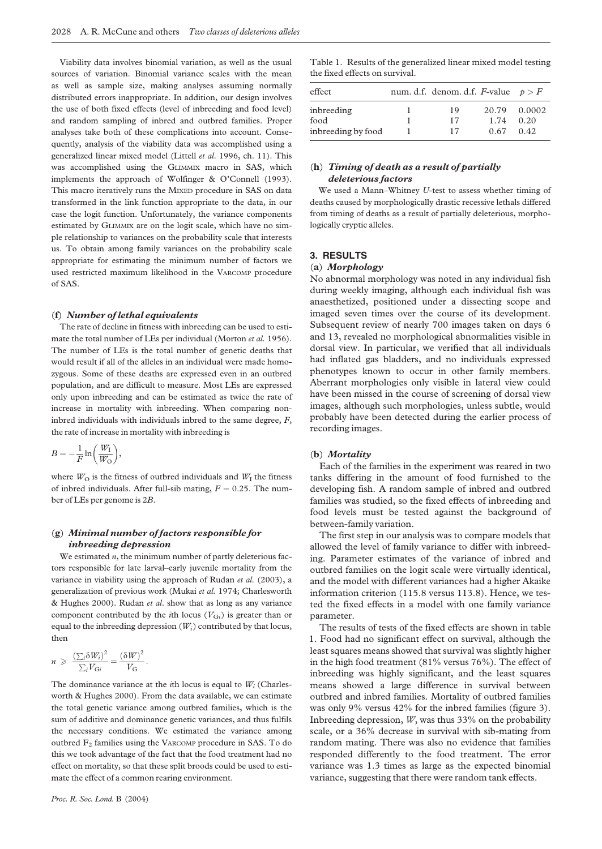Viability data involves binomial variation, as well as the usual sources of variation. Binomial variance scales with the mean as well as sample size, making analyses assuming normally distributed errors inappropriate. In addition, our design involves the use of both fixed effects (level of inbreeding and food level) and random sampling of inbred and outbred families. Proper analyses take both of these complications into account. Consequently, analysis of the viability data was accomplished using a generalized linear mixed model (Littell et al. 1996, ch. 11). This was accomplished using the GLIMMIX macro in SAS, which implements the approach of Wolfinger & O'Connell (1993). This macro iteratively runs the MIXED procedure in SAS on data transformed in the link function appropriate to the data, in our case the logit function. Unfortunately, the variance components estimated by GLIMMIX are on the logit scale, which have no simple relationship to variances on the probability scale that interests us. To obtain among family variances on the probability scale appropriate for estimating the minimum number of factors we used restricted maximum likelihood in the VARCOMP procedure of SAS.

## (f) Number of lethal equivalents

The rate of decline in fitness with inbreeding can be used to estimate the total number of LEs per individual (Morton et al. 1956). The number of LEs is the total number of genetic deaths that would result if all of the alleles in an individual were made homozygous. Some of these deaths are expressed even in an outbred population, and are difficult to measure. Most LEs are expressed only upon inbreeding and can be estimated as twice the rate of increase in mortality with inbreeding. When comparing noninbred individuals with individuals inbred to the same degree,  $F$ , the rate of increase in mortality with inbreeding is

$$
B=-\frac{1}{F}\ln\bigg(\frac{W_{\rm I}}{W_{\rm O}}\bigg),\,
$$

where  $W<sub>O</sub>$  is the fitness of outbred individuals and  $W<sub>I</sub>$  the fitness of inbred individuals. After full-sib mating,  $F = 0.25$ . The number of LEs per genome is 2B.

# (g) Minimal number of factors responsible for inbreeding depression

We estimated  $n$ , the minimum number of partly deleterious factors responsible for late larval–early juvenile mortality from the variance in viability using the approach of Rudan et al. (2003), a generalization of previous work (Mukai et al. 1974; Charlesworth & Hughes 2000). Rudan et al. show that as long as any variance component contributed by the *i*th locus ( $V_{\text{G}i}$ ) is greater than or equal to the inbreeding depression  $(W_i)$  contributed by that locus, then

$$
n \geqslant \frac{\left(\sum_i \delta W_i\right)^2}{\sum_i V_{\text{G}i}} = \frac{\left(\delta W\right)^2}{V_{\text{G}}}.
$$

The dominance variance at the *i*th locus is equal to  $W_i$  (Charlesworth & Hughes 2000). From the data available, we can estimate the total genetic variance among outbred families, which is the sum of additive and dominance genetic variances, and thus fulfils the necessary conditions. We estimated the variance among outbred F<sub>2</sub> families using the VARCOMP procedure in SAS. To do this we took advantage of the fact that the food treatment had no effect on mortality, so that these split broods could be used to estimate the effect of a common rearing environment.

| effect             | num. d.f. denom. d.f. F-value $p > F$ |      |              |
|--------------------|---------------------------------------|------|--------------|
| inbreeding         | 19                                    |      | 20.79 0.0002 |
| food               | 17                                    | 1.74 | 0.20         |
| inbreeding by food | 17                                    | 0.67 | 042          |

# (h) Timing of death as a result of partially deleterious factors

We used a Mann–Whitney U-test to assess whether timing of deaths caused by morphologically drastic recessive lethals differed from timing of deaths as a result of partially deleterious, morphologically cryptic alleles.

## 3. RESULTS

## (a) Morphology

No abnormal morphology was noted in any individual fish during weekly imaging, although each individual fish was anaesthetized, positioned under a dissecting scope and imaged seven times over the course of its development. Subsequent review of nearly 700 images taken on days 6 and 13, revealed no morphological abnormalities visible in dorsal view. In particular, we verified that all individuals had inflated gas bladders, and no individuals expressed phenotypes known to occur in other family members. Aberrant morphologies only visible in lateral view could have been missed in the course of screening of dorsal view images, although such morphologies, unless subtle, would probably have been detected during the earlier process of recording images.

## (b) Mortality

Each of the families in the experiment was reared in two tanks differing in the amount of food furnished to the developing fish. A random sample of inbred and outbred families was studied, so the fixed effects of inbreeding and food levels must be tested against the background of between-family variation.

The first step in our analysis was to compare models that allowed the level of family variance to differ with inbreeding. Parameter estimates of the variance of inbred and outbred families on the logit scale were virtually identical, and the model with different variances had a higher Akaike information criterion (115.8 versus 113.8). Hence, we tested the fixed effects in a model with one family variance parameter.

The results of tests of the fixed effects are shown in table 1. Food had no significant effect on survival, although the least squares means showed that survival was slightly higher in the high food treatment (81% versus 76%). The effect of inbreeding was highly significant, and the least squares means showed a large difference in survival between outbred and inbred families. Mortality of outbred families was only 9% versus 42% for the inbred families [\(figure 3\)](#page-4-0). Inbreeding depression, W, was thus 33% on the probability scale, or a 36% decrease in survival with sib-mating from random mating. There was also no evidence that families responded differently to the food treatment. The error variance was 1.3 times as large as the expected binomial variance, suggesting that there were random tank effects.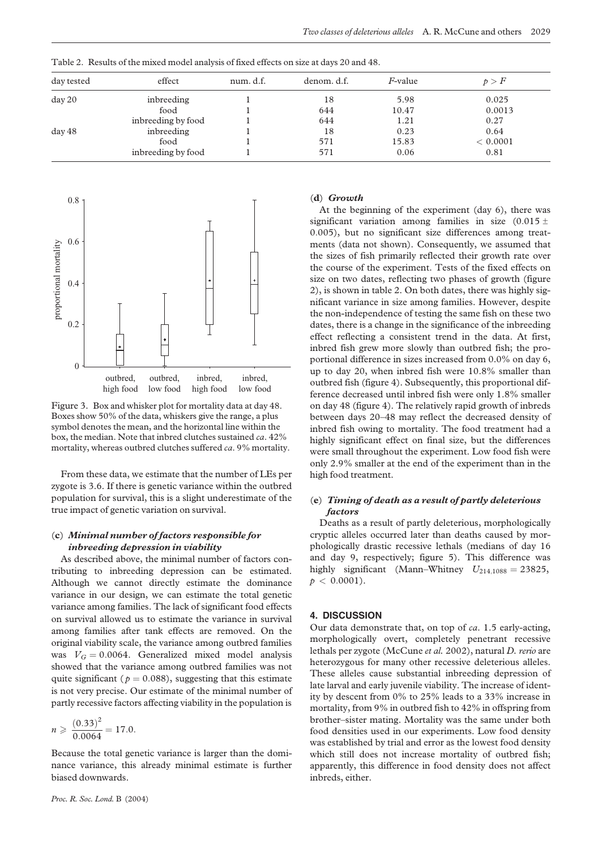| day tested | effect             | num. d.f. | denom. d.f. | <i>F</i> -value | p > F    |
|------------|--------------------|-----------|-------------|-----------------|----------|
| day 20     | inbreeding         |           | 18          | 5.98            | 0.025    |
|            | food               |           | 644         | 10.47           | 0.0013   |
|            | inbreeding by food |           | 644         | 1.21            | 0.27     |
| day 48     | inbreeding         |           | 18          | 0.23            | 0.64     |
|            | food               |           | 571         | 15.83           | < 0.0001 |
|            | inbreeding by food |           | 571         | 0.06            | 0.81     |

<span id="page-4-0"></span>Table 2. Results of the mixed model analysis of fixed effects on size at days 20 and 48.



Figure 3. Box and whisker plot for mortality data at day 48. Boxes show 50% of the data, whiskers give the range, a plus symbol denotes the mean, and the horizontal line within the box, the median. Note that inbred clutches sustained ca. 42% mortality, whereas outbred clutches suffered ca. 9% mortality.

From these data, we estimate that the number of LEs per zygote is 3.6. If there is genetic variance within the outbred population for survival, this is a slight underestimate of the true impact of genetic variation on survival.

# (c) Minimal number of factors responsible for inbreeding depression in viability

As described above, the minimal number of factors contributing to inbreeding depression can be estimated. Although we cannot directly estimate the dominance variance in our design, we can estimate the total genetic variance among families. The lack of significant food effects on survival allowed us to estimate the variance in survival among families after tank effects are removed. On the original viability scale, the variance among outbred families was  $V_G = 0.0064$ . Generalized mixed model analysis showed that the variance among outbred families was not quite significant ( $p = 0.088$ ), suggesting that this estimate is not very precise. Our estimate of the minimal number of partly recessive factors affecting viability in the population is

$$
n \geqslant \frac{(0.33)^2}{0.0064} = 17.0.
$$

Because the total genetic variance is larger than the dominance variance, this already minimal estimate is further biased downwards.

#### Proc. R. Soc. Lond. B (2004)

#### (d) Growth

At the beginning of the experiment (day 6), there was significant variation among families in size  $(0.015 \pm$ 0:005), but no significant size differences among treatments (data not shown). Consequently, we assumed that the sizes of fish primarily reflected their growth rate over the course of the experiment. Tests of the fixed effects on size on two dates, reflecting two phases of growth ([figure](#page-2-0) [2](#page-2-0)), is shown in table 2. On both dates, there was highly significant variance in size among families. However, despite the non-independence of testing the same fish on these two dates, there is a change in the significance of the inbreeding effect reflecting a consistent trend in the data. At first, inbred fish grew more slowly than outbred fish; the proportional difference in sizes increased from 0.0% on day 6, up to day 20, when inbred fish were 10.8% smaller than outbred fish ([figure 4\)](#page-5-0). Subsequently, this proportional difference decreased until inbred fish were only 1.8% smaller on day 48 ([figure 4\)](#page-5-0). The relatively rapid growth of inbreds between days 20–48 may reflect the decreased density of inbred fish owing to mortality. The food treatment had a highly significant effect on final size, but the differences were small throughout the experiment. Low food fish were only 2.9% smaller at the end of the experiment than in the high food treatment.

# (e) Timing of death as a result of partly deleterious factors

Deaths as a result of partly deleterious, morphologically cryptic alleles occurred later than deaths caused by morphologically drastic recessive lethals (medians of day 16 and day 9, respectively; [figure 5\)](#page-6-0). This difference was highly significant (Mann–Whitney  $U_{214,1088} = 23825$ ,  $p < 0.0001$ ).

## 4. DISCUSSION

Our data demonstrate that, on top of ca. 1.5 early-acting, morphologically overt, completely penetrant recessive lethals per zygote (McCune et al. 2002), natural D. rerio are heterozygous for many other recessive deleterious alleles. These alleles cause substantial inbreeding depression of late larval and early juvenile viability. The increase of identity by descent from 0% to 25% leads to a 33% increase in mortality, from 9% in outbred fish to 42% in offspring from brother–sister mating. Mortality was the same under both food densities used in our experiments. Low food density was established by trial and error as the lowest food density which still does not increase mortality of outbred fish; apparently, this difference in food density does not affect inbreds, either.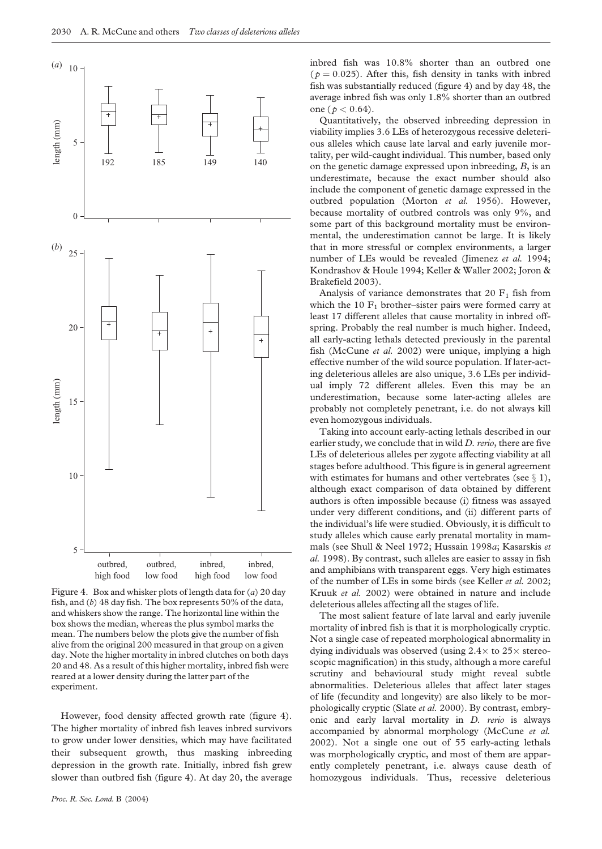<span id="page-5-0"></span>

Figure 4. Box and whisker plots of length data for  $(a)$  20 day fish, and (b) 48 day fish. The box represents 50% of the data, and whiskers show the range. The horizontal line within the box shows the median, whereas the plus symbol marks the mean. The numbers below the plots give the number of fish alive from the original 200 measured in that group on a given day. Note the higher mortality in inbred clutches on both days 20 and 48. As a result of this higher mortality, inbred fish were reared at a lower density during the latter part of the experiment.

However, food density affected growth rate (figure 4). The higher mortality of inbred fish leaves inbred survivors to grow under lower densities, which may have facilitated their subsequent growth, thus masking inbreeding depression in the growth rate. Initially, inbred fish grew slower than outbred fish (figure 4). At day 20, the average inbred fish was 10.8% shorter than an outbred one ( $p = 0.025$ ). After this, fish density in tanks with inbred fish was substantially reduced (figure 4) and by day 48, the average inbred fish was only 1.8% shorter than an outbred one ( $p < 0.64$ ).

Quantitatively, the observed inbreeding depression in viability implies 3.6 LEs of heterozygous recessive deleterious alleles which cause late larval and early juvenile mortality, per wild-caught individual. This number, based only on the genetic damage expressed upon inbreeding, B, is an underestimate, because the exact number should also include the component of genetic damage expressed in the outbred population (Morton et al. 1956). However, because mortality of outbred controls was only 9%, and some part of this background mortality must be environmental, the underestimation cannot be large. It is likely that in more stressful or complex environments, a larger number of LEs would be revealed (Jimenez et al. 1994; Kondrashov & Houle 1994; Keller & Waller 2002; Joron & Brakefield 2003).

Analysis of variance demonstrates that 20  $F_1$  fish from which the 10  $F_1$  brother–sister pairs were formed carry at least 17 different alleles that cause mortality in inbred offspring. Probably the real number is much higher. Indeed, all early-acting lethals detected previously in the parental fish (McCune et al. 2002) were unique, implying a high effective number of the wild source population. If later-acting deleterious alleles are also unique, 3.6 LEs per individual imply 72 different alleles. Even this may be an underestimation, because some later-acting alleles are probably not completely penetrant, i.e. do not always kill even homozygous individuals.

Taking into account early-acting lethals described in our earlier study, we conclude that in wild D. rerio, there are five LEs of deleterious alleles per zygote affecting viability at all stages before adulthood. This figure is in general agreement with estimates for humans and other vertebrates (see  $\S$  1), although exact comparison of data obtained by different authors is often impossible because (i) fitness was assayed under very different conditions, and (ii) different parts of the individual's life were studied. Obviously, it is difficult to study alleles which cause early prenatal mortality in mammals (see Shull & Neel 1972; Hussain 1998a; Kasarskis et al. 1998). By contrast, such alleles are easier to assay in fish and amphibians with transparent eggs. Very high estimates of the number of LEs in some birds (see Keller et al. 2002; Kruuk et al. 2002) were obtained in nature and include deleterious alleles affecting all the stages of life.

The most salient feature of late larval and early juvenile mortality of inbred fish is that it is morphologically cryptic. Not a single case of repeated morphological abnormality in dying individuals was observed (using  $2.4 \times$  to  $25 \times$  stereoscopic magnification) in this study, although a more careful scrutiny and behavioural study might reveal subtle abnormalities. Deleterious alleles that affect later stages of life (fecundity and longevity) are also likely to be morphologically cryptic (Slate et al. 2000). By contrast, embryonic and early larval mortality in D. rerio is always accompanied by abnormal morphology (McCune et al. 2002). Not a single one out of 55 early-acting lethals was morphologically cryptic, and most of them are apparently completely penetrant, i.e. always cause death of homozygous individuals. Thus, recessive deleterious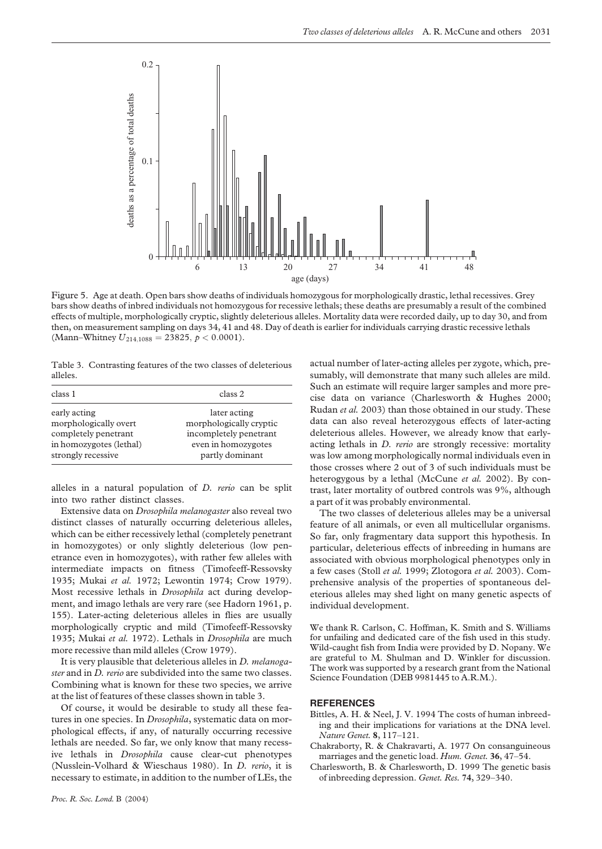<span id="page-6-0"></span>

Figure 5. Age at death. Open bars show deaths of individuals homozygous for morphologically drastic, lethal recessives. Grey bars show deaths of inbred individuals not homozygous for recessive lethals; these deaths are presumably a result of the combined effects of multiple, morphologically cryptic, slightly deleterious alleles. Mortality data were recorded daily, up to day 30, and from then, on measurement sampling on days 34, 41 and 48. Day of death is earlier for individuals carrying drastic recessive lethals (Mann–Whitney  $U_{214,1088} = 23825, p < 0.0001$ ).

Table 3. Contrasting features of the two classes of deleterious alleles.

| class 1                 | class 2                 |  |  |
|-------------------------|-------------------------|--|--|
| early acting            | later acting            |  |  |
| morphologically overt   | morphologically cryptic |  |  |
| completely penetrant    | incompletely penetrant  |  |  |
| in homozygotes (lethal) | even in homozygotes     |  |  |
| strongly recessive      | partly dominant         |  |  |

alleles in a natural population of  $D$ . rerio can be split into two rather distinct classes.

Extensive data on Drosophila melanogaster also reveal two distinct classes of naturally occurring deleterious alleles, which can be either recessively lethal (completely penetrant in homozygotes) or only slightly deleterious (low penetrance even in homozygotes), with rather few alleles with intermediate impacts on fitness (Timofeeff-Ressovsky 1935; Mukai et al. 1972; Lewontin 1974; Crow 1979). Most recessive lethals in Drosophila act during development, and imago lethals are very rare (see Hadorn 1961, p. 155). Later-acting deleterious alleles in flies are usually morphologically cryptic and mild (Timofeeff-Ressovsky 1935; Mukai et al. 1972). Lethals in Drosophila are much more recessive than mild alleles (Crow 1979).

It is very plausible that deleterious alleles in D. melanogaster and in *D. rerio* are subdivided into the same two classes. Combining what is known for these two species, we arrive at the list of features of these classes shown in table 3.

Of course, it would be desirable to study all these features in one species. In *Drosophila*, systematic data on morphological effects, if any, of naturally occurring recessive lethals are needed. So far, we only know that many recessive lethals in Drosophila cause clear-cut phenotypes (Nusslein-Volhard & Wieschaus 1980). In D. rerio, it is necessary to estimate, in addition to the number of LEs, the

actual number of later-acting alleles per zygote, which, presumably, will demonstrate that many such alleles are mild. Such an estimate will require larger samples and more precise data on variance (Charlesworth & Hughes 2000; Rudan et al. 2003) than those obtained in our study. These data can also reveal heterozygous effects of later-acting deleterious alleles. However, we already know that earlyacting lethals in D. rerio are strongly recessive: mortality was low among morphologically normal individuals even in those crosses where 2 out of 3 of such individuals must be heterogygous by a lethal (McCune et al. 2002). By contrast, later mortality of outbred controls was 9%, although a part of it was probably environmental.

The two classes of deleterious alleles may be a universal feature of all animals, or even all multicellular organisms. So far, only fragmentary data support this hypothesis. In particular, deleterious effects of inbreeding in humans are associated with obvious morphological phenotypes only in a few cases (Stoll et al. 1999; Zlotogora et al. 2003). Comprehensive analysis of the properties of spontaneous deleterious alleles may shed light on many genetic aspects of individual development.

We thank R. Carlson, C. Hoffman, K. Smith and S. Williams for unfailing and dedicated care of the fish used in this study. Wild-caught fish from India were provided by D. Nopany. We are grateful to M. Shulman and D. Winkler for discussion. The work was supported by a research grant from the National Science Foundation (DEB 9981445 to A.R.M.).

## **REFERENCES**

- Bittles, A. H. & Neel, J. V. 1994 The costs of human inbreeding and their implications for variations at the DNA level. Nature Genet. 8, 117–121.
- Chakraborty, R. & Chakravarti, A. 1977 On consanguineous marriages and the genetic load. Hum. Genet. 36, 47–54.
- Charlesworth, B. & Charlesworth, D. 1999 The genetic basis of inbreeding depression. Genet. Res. 74, 329–340.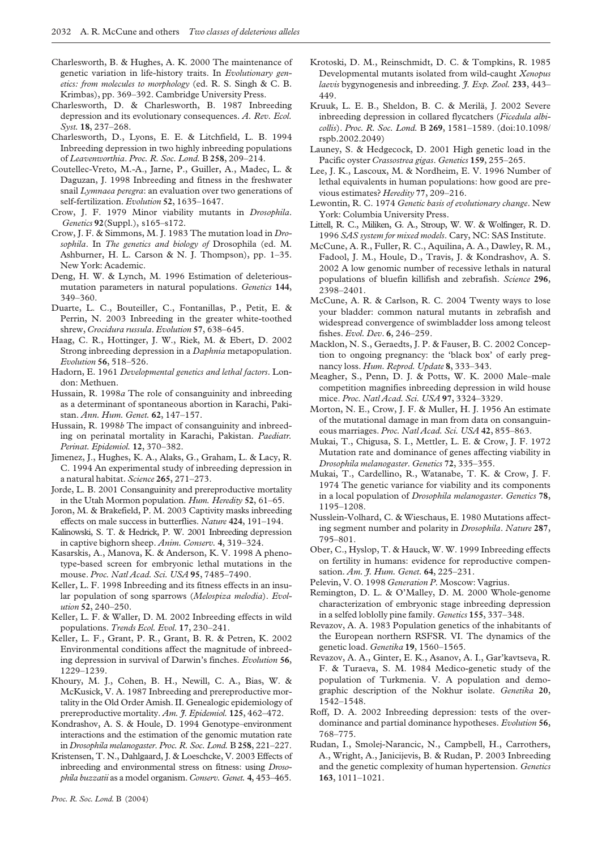- Charlesworth, B. & Hughes, A. K. 2000 The maintenance of genetic variation in life-history traits. In Evolutionary genetics: from molecules to morphology (ed. R. S. Singh & C. B. Krimbas), pp. 369–392. Cambridge University Press.
- Charlesworth, D. & Charlesworth, B. 1987 Inbreeding depression and its evolutionary consequences. A. Rev. Ecol. Syst. 18, 237–268.
- Charlesworth, D., Lyons, E. E. & Litchfield, L. B. 1994 Inbreeding depression in two highly inbreeding populations of Leavenworthia. Proc. R. Soc. Lond. B 258, 209–214.
- Coutellec-Vreto, M.-A., Jarne, P., Guiller, A., Madec, L. & Daguzan, J. 1998 Inbreeding and fitness in the freshwater snail *Lymnaea peregra*: an evaluation over two generations of self-fertilization. Evolution 52, 1635-1647.
- Crow, J. F. 1979 Minor viability mutants in Drosophila. Genetics 92(Suppl.), s165–s172.
- Crow, J. F. & Simmons, M. J. 1983 The mutation load in Drosophila. In The genetics and biology of Drosophila (ed. M. Ashburner, H. L. Carson & N. J. Thompson), pp. 1–35. New York: Academic.
- Deng, H. W. & Lynch, M. 1996 Estimation of deleteriousmutation parameters in natural populations. Genetics 144, 349–360.
- Duarte, L. C., Bouteiller, C., Fontanillas, P., Petit, E. & Perrin, N. 2003 Inbreeding in the greater white-toothed shrew, Crocidura russula. Evolution 57, 638–645.
- Haag, C. R., Hottinger, J. W., Riek, M. & Ebert, D. 2002 Strong inbreeding depression in a Daphnia metapopulation. Evolution 56, 518–526.
- Hadorn, E. 1961 Developmental genetics and lethal factors. London: Methuen.
- Hussain, R. 1998a The role of consanguinity and inbreeding as a determinant of spontaneous abortion in Karachi, Pakistan. Ann. Hum. Genet. 62, 147–157.
- Hussain, R. 1998b The impact of consanguinity and inbreeding on perinatal mortality in Karachi, Pakistan. Paediatr. Perinat. Epidemiol. 12, 370–382.
- Jimenez, J., Hughes, K. A., Alaks, G., Graham, L. & Lacy, R. C. 1994 An experimental study of inbreeding depression in a natural habitat. Science 265, 271–273.
- Jorde, L. B. 2001 Consanguinity and prereproductive mortality in the Utah Mormon population. Hum. Heredity 52, 61-65.
- Joron, M. & Brakefield, P. M. 2003 Captivity masks inbreeding effects on male success in butterflies. Nature 424, 191–194.
- Kalinowski, S. T. & Hedrick, P. W. 2001 Inbreeding depression in captive bighorn sheep. Anim. Conserv. 4, 319–324.
- Kasarskis, A., Manova, K. & Anderson, K. V. 1998 A phenotype-based screen for embryonic lethal mutations in the mouse. Proc. Natl Acad. Sci. USA 95, 7485–7490.
- Keller, L. F. 1998 Inbreeding and its fitness effects in an insular population of song sparrows (Melospiza melodia). Evolution 52, 240–250.
- Keller, L. F. & Waller, D. M. 2002 Inbreeding effects in wild populations. Trends Ecol. Evol. 17, 230–241.
- Keller, L. F., Grant, P. R., Grant, B. R. & Petren, K. 2002 Environmental conditions affect the magnitude of inbreeding depression in survival of Darwin's finches. Evolution 56, 1229–1239.
- Khoury, M. J., Cohen, B. H., Newill, C. A., Bias, W. & McKusick, V. A. 1987 Inbreeding and prereproductive mortality in the Old Order Amish. II. Genealogic epidemiology of prereproductive mortality. Am. J. Epidemiol. 125, 462-472.
- Kondrashov, A. S. & Houle, D. 1994 Genotype–environment interactions and the estimation of the genomic mutation rate in Drosophila melanogaster. Proc. R. Soc. Lond. B 258, 221–227.
- Kristensen, T. N., Dahlgaard, J. & Loeschcke, V. 2003 Effects of inbreeding and environmental stress on fitness: using Drosophila buzzatii as a model organism. Conserv. Genet. 4, 453–465.
- Krotoski, D. M., Reinschmidt, D. C. & Tompkins, R. 1985 Developmental mutants isolated from wild-caught Xenopus laevis bygynogenesis and inbreeding. J. Exp. Zool. 233, 443-449.
- Kruuk, L. E. B., Sheldon, B. C. & Merilä, J. 2002 Severe inbreeding depression in collared flycatchers (Ficedula albicollis). Proc. R. Soc. Lond. B 269, 1581–1589. (doi:10.1098/ rspb.2002.2049)
- Launey, S. & Hedgecock, D. 2001 High genetic load in the Pacific oyster Crassostrea gigas. Genetics 159, 255–265.
- Lee, J. K., Lascoux, M. & Nordheim, E. V. 1996 Number of lethal equivalents in human populations: how good are previous estimates? Heredity 77, 209–216.
- Lewontin, R. C. 1974 Genetic basis of evolutionary change. New York: Columbia University Press.
- Littell, R. C., Miliken, G. A., Stroup, W. W. & Wolfinger, R. D. 1996 SAS system for mixed models. Cary, NC: SAS Institute.
- McCune, A. R., Fuller, R. C., Aquilina, A. A., Dawley, R. M., Fadool, J. M., Houle, D., Travis, J. & Kondrashov, A. S. 2002 A low genomic number of recessive lethals in natural populations of bluefin killifish and zebrafish. Science 296, 2398–2401.
- McCune, A. R. & Carlson, R. C. 2004 Twenty ways to lose your bladder: common natural mutants in zebrafish and widespread convergence of swimbladder loss among teleost fishes. Evol. Dev. 6, 246–259.
- Macklon, N. S., Geraedts, J. P. & Fauser, B. C. 2002 Conception to ongoing pregnancy: the 'black box' of early pregnancy loss. Hum. Reprod. Update 8, 333-343.
- Meagher, S., Penn, D. J. & Potts, W. K. 2000 Male–male competition magnifies inbreeding depression in wild house mice. Proc. Natl Acad. Sci. USA 97, 3324–3329.
- Morton, N. E., Crow, J. F. & Muller, H. J. 1956 An estimate of the mutational damage in man from data on consanguineous marriages. Proc. Natl Acad. Sci. USA 42, 855-863.
- Mukai, T., Chigusa, S. I., Mettler, L. E. & Crow, J. F. 1972 Mutation rate and dominance of genes affecting viability in Drosophila melanogaster. Genetics 72, 335–355.
- Mukai, T., Cardellino, R., Watanabe, T. K. & Crow, J. F. 1974 The genetic variance for viability and its components in a local population of Drosophila melanogaster. Genetics 78, 1195–1208.
- Nusslein-Volhard, C. & Wieschaus, E. 1980 Mutations affecting segment number and polarity in Drosophila. Nature 287, 795–801.
- Ober, C., Hyslop, T. & Hauck, W. W. 1999 Inbreeding effects on fertility in humans: evidence for reproductive compensation. Am. 7. Hum. Genet. 64, 225-231.
- Pelevin, V. O. 1998 Generation P. Moscow: Vagrius.
- Remington, D. L. & O'Malley, D. M. 2000 Whole-genome characterization of embryonic stage inbreeding depression in a selfed loblolly pine family. Genetics 155, 337–348.
- Revazov, A. A. 1983 Population genetics of the inhabitants of the European northern RSFSR. VI. The dynamics of the genetic load. Genetika 19, 1560–1565.
- Revazov, A. A., Ginter, E. K., Asanov, A. I., Gar'kavtseva, R. F. & Turaeva, S. M. 1984 Medico-genetic study of the population of Turkmenia. V. A population and demographic description of the Nokhur isolate. Genetika 20, 1542–1548.
- Roff, D. A. 2002 Inbreeding depression: tests of the overdominance and partial dominance hypotheses. Evolution 56, 768–775.
- Rudan, I., Smolej-Narancic, N., Campbell, H., Carrothers, A., Wright, A., Janicijevis, B. & Rudan, P. 2003 Inbreeding and the genetic complexity of human hypertension. Genetics 163, 1011–1021.